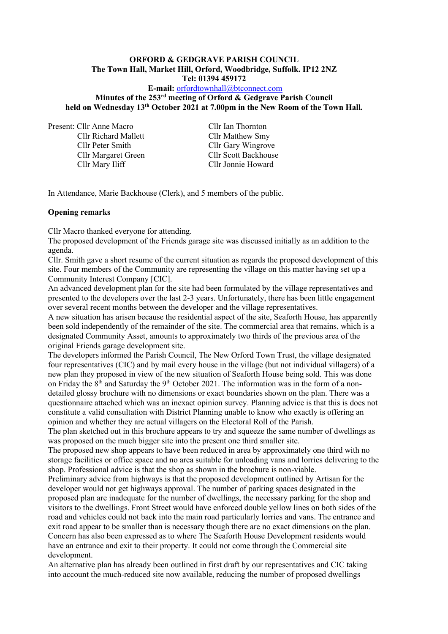# **ORFORD & GEDGRAVE PARISH COUNCIL The Town Hall, Market Hill, Orford, Woodbridge, Suffolk. IP12 2NZ**

**Tel: 01394 459172**

### **E-mail:** [orfordtownhall@btconnect.com](mailto:orfordtownhall@btconnect.com) **Minutes of the 253 rd meeting of Orford & Gedgrave Parish Council held on Wednesday 13th October 2021 at 7.00pm in the New Room of the Town Hall***.*

Present: Cllr Anne Macro Cllr Ian Thornton

Cllr Richard Mallett Cllr Matthew Smy Cllr Peter Smith Cllr Gary Wingrove Cllr Margaret Green Cllr Scott Backhouse

Cllr Jonnie Howard

In Attendance, Marie Backhouse (Clerk), and 5 members of the public.

### **Opening remarks**

Cllr Macro thanked everyone for attending.

The proposed development of the Friends garage site was discussed initially as an addition to the agenda.

Cllr. Smith gave a short resume of the current situation as regards the proposed development of this site. Four members of the Community are representing the village on this matter having set up a Community Interest Company [CIC].

An advanced development plan for the site had been formulated by the village representatives and presented to the developers over the last 2-3 years. Unfortunately, there has been little engagement over several recent months between the developer and the village representatives.

A new situation has arisen because the residential aspect of the site, Seaforth House, has apparently been sold independently of the remainder of the site. The commercial area that remains, which is a designated Community Asset, amounts to approximately two thirds of the previous area of the original Friends garage development site.

The developers informed the Parish Council, The New Orford Town Trust, the village designated four representatives (CIC) and by mail every house in the village (but not individual villagers) of a new plan they proposed in view of the new situation of Seaforth House being sold. This was done on Friday the  $8<sup>th</sup>$  and Saturday the  $9<sup>th</sup>$  October 2021. The information was in the form of a nondetailed glossy brochure with no dimensions or exact boundaries shown on the plan. There was a questionnaire attached which was an inexact opinion survey. Planning advice is that this is does not constitute a valid consultation with District Planning unable to know who exactly is offering an opinion and whether they are actual villagers on the Electoral Roll of the Parish.

The plan sketched out in this brochure appears to try and squeeze the same number of dwellings as was proposed on the much bigger site into the present one third smaller site.

The proposed new shop appears to have been reduced in area by approximately one third with no storage facilities or office space and no area suitable for unloading vans and lorries delivering to the shop. Professional advice is that the shop as shown in the brochure is non-viable.

Preliminary advice from highways is that the proposed development outlined by Artisan for the developer would not get highways approval. The number of parking spaces designated in the proposed plan are inadequate for the number of dwellings, the necessary parking for the shop and visitors to the dwellings. Front Street would have enforced double yellow lines on both sides of the road and vehicles could not back into the main road particularly lorries and vans. The entrance and exit road appear to be smaller than is necessary though there are no exact dimensions on the plan. Concern has also been expressed as to where The Seaforth House Development residents would have an entrance and exit to their property. It could not come through the Commercial site development.

An alternative plan has already been outlined in first draft by our representatives and CIC taking into account the much-reduced site now available, reducing the number of proposed dwellings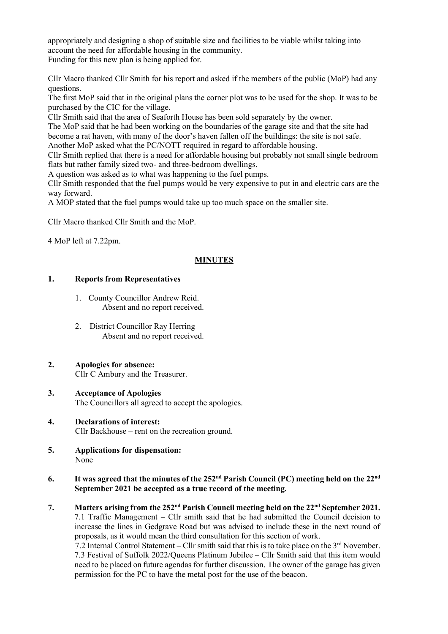appropriately and designing a shop of suitable size and facilities to be viable whilst taking into account the need for affordable housing in the community. Funding for this new plan is being applied for.

Cllr Macro thanked Cllr Smith for his report and asked if the members of the public (MoP) had any questions.

The first MoP said that in the original plans the corner plot was to be used for the shop. It was to be purchased by the CIC for the village.

Cllr Smith said that the area of Seaforth House has been sold separately by the owner.

The MoP said that he had been working on the boundaries of the garage site and that the site had become a rat haven, with many of the door's haven fallen off the buildings: the site is not safe.

Another MoP asked what the PC/NOTT required in regard to affordable housing.

Cllr Smith replied that there is a need for affordable housing but probably not small single bedroom flats but rather family sized two- and three-bedroom dwellings.

A question was asked as to what was happening to the fuel pumps.

Cllr Smith responded that the fuel pumps would be very expensive to put in and electric cars are the way forward.

A MOP stated that the fuel pumps would take up too much space on the smaller site.

Cllr Macro thanked Cllr Smith and the MoP.

4 MoP left at 7.22pm.

### **MINUTES**

#### **1. Reports from Representatives**

- 1. County Councillor Andrew Reid. Absent and no report received.
- 2. District Councillor Ray Herring Absent and no report received.

# **2. Apologies for absence:**

Cllr C Ambury and the Treasurer.

- **3. Acceptance of Apologies** The Councillors all agreed to accept the apologies.
- **4. Declarations of interest:** Cllr Backhouse – rent on the recreation ground.
- **5. Applications for dispensation:** None
- **6. It was agreed that the minutes of the 252 nd Parish Council (PC) meeting held on the 22nd September 2021 be accepted as a true record of the meeting.**
- **7. Matters arising from the 252 nd Parish Council meeting held on the 22nd September 2021.** 7.1 Traffic Management – Cllr smith said that he had submitted the Council decision to increase the lines in Gedgrave Road but was advised to include these in the next round of proposals, as it would mean the third consultation for this section of work. 7.2 Internal Control Statement – Cllr smith said that this is to take place on the  $3<sup>rd</sup>$  November. 7.3 Festival of Suffolk 2022/Queens Platinum Jubilee – Cllr Smith said that this item would

need to be placed on future agendas for further discussion. The owner of the garage has given permission for the PC to have the metal post for the use of the beacon.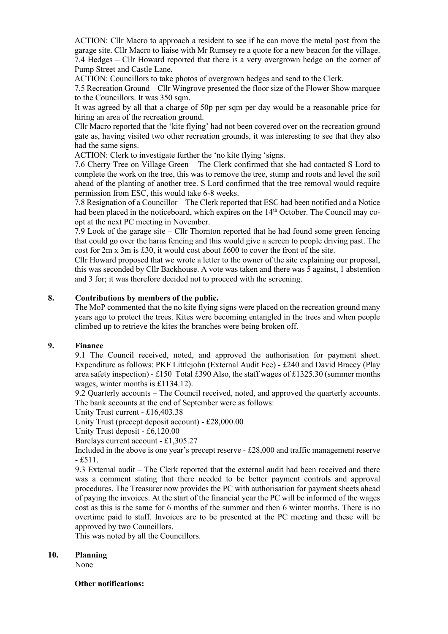ACTION: Cllr Macro to approach a resident to see if he can move the metal post from the garage site. Cllr Macro to liaise with Mr Rumsey re a quote for a new beacon for the village. 7.4 Hedges – Cllr Howard reported that there is a very overgrown hedge on the corner of Pump Street and Castle Lane.

ACTION: Councillors to take photos of overgrown hedges and send to the Clerk.

7.5 Recreation Ground – Cllr Wingrove presented the floor size of the Flower Show marquee to the Councillors. It was 350 sqm.

It was agreed by all that a charge of 50p per sqm per day would be a reasonable price for hiring an area of the recreation ground.

Cllr Macro reported that the 'kite flying' had not been covered over on the recreation ground gate as, having visited two other recreation grounds, it was interesting to see that they also had the same signs.

ACTION: Clerk to investigate further the 'no kite flying 'signs.

7.6 Cherry Tree on Village Green – The Clerk confirmed that she had contacted S Lord to complete the work on the tree, this was to remove the tree, stump and roots and level the soil ahead of the planting of another tree. S Lord confirmed that the tree removal would require permission from ESC, this would take 6-8 weeks.

7.8 Resignation of a Councillor – The Clerk reported that ESC had been notified and a Notice had been placed in the noticeboard, which expires on the 14<sup>th</sup> October. The Council may coopt at the next PC meeting in November.

7.9 Look of the garage site – Cllr Thornton reported that he had found some green fencing that could go over the haras fencing and this would give a screen to people driving past. The cost for 2m x 3m is £30, it would cost about £600 to cover the front of the site.

Cllr Howard proposed that we wrote a letter to the owner of the site explaining our proposal, this was seconded by Cllr Backhouse. A vote was taken and there was 5 against, 1 abstention and 3 for; it was therefore decided not to proceed with the screening.

#### **8. Contributions by members of the public.**

The MoP commented that the no kite flying signs were placed on the recreation ground many years ago to protect the trees. Kites were becoming entangled in the trees and when people climbed up to retrieve the kites the branches were being broken off.

#### **9. Finance**

9.1 The Council received, noted, and approved the authorisation for payment sheet. Expenditure as follows: PKF Littlejohn (External Audit Fee) - £240 and David Bracey (Play area safety inspection) - £150 Total £390 Also, the staff wages of £1325.30 (summer months wages, winter months is £1134.12).

9.2 Quarterly accounts – The Council received, noted, and approved the quarterly accounts. The bank accounts at the end of September were as follows:

Unity Trust current - £16,403.38

Unity Trust (precept deposit account) - £28,000.00

Unity Trust deposit - £6,120.00

Barclays current account - £1,305.27

Included in the above is one year's precept reserve - £28,000 and traffic management reserve  $-$ £511.

9.3 External audit – The Clerk reported that the external audit had been received and there was a comment stating that there needed to be better payment controls and approval procedures. The Treasurer now provides the PC with authorisation for payment sheets ahead of paying the invoices. At the start of the financial year the PC will be informed of the wages cost as this is the same for 6 months of the summer and then 6 winter months. There is no overtime paid to staff. Invoices are to be presented at the PC meeting and these will be approved by two Councillors.

This was noted by all the Councillors.

#### **10. Planning**

None

#### **Other notifications:**